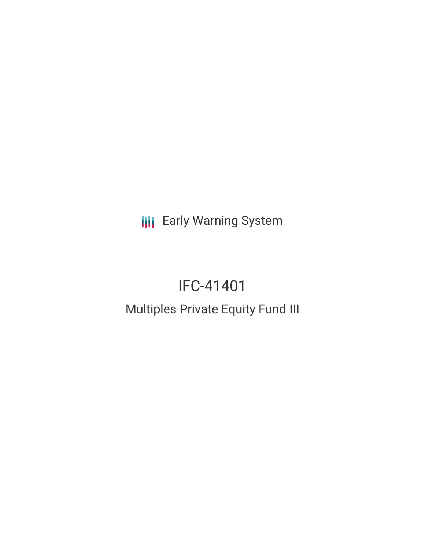**III** Early Warning System

# IFC-41401

# Multiples Private Equity Fund III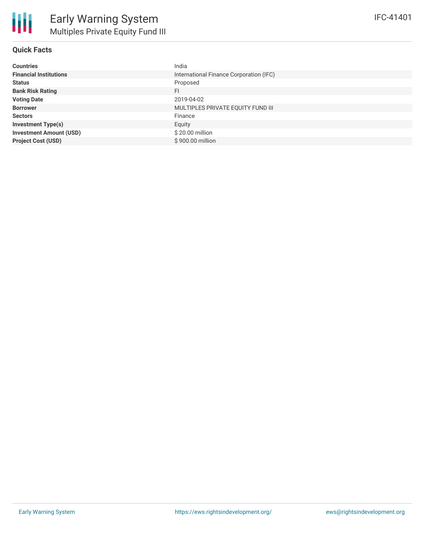

#### **Quick Facts**

| India                                   |
|-----------------------------------------|
| International Finance Corporation (IFC) |
| Proposed                                |
| FI                                      |
| 2019-04-02                              |
| MULTIPLES PRIVATE EQUITY FUND III       |
| Finance                                 |
| Equity                                  |
| \$20.00 million                         |
| \$900.00 million                        |
|                                         |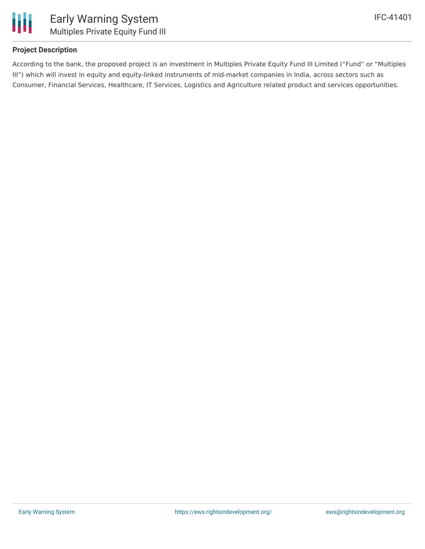

### **Project Description**

According to the bank, the proposed project is an investment in Multiples Private Equity Fund III Limited ("Fund" or "Multiples III") which will invest in equity and equity-linked instruments of mid-market companies in India, across sectors such as Consumer, Financial Services, Healthcare, IT Services, Logistics and Agriculture related product and services opportunities.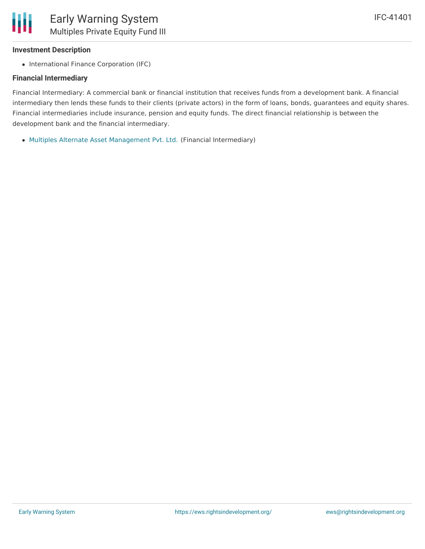# **Investment Description**

• International Finance Corporation (IFC)

# **Financial Intermediary**

Financial Intermediary: A commercial bank or financial institution that receives funds from a development bank. A financial intermediary then lends these funds to their clients (private actors) in the form of loans, bonds, guarantees and equity shares. Financial intermediaries include insurance, pension and equity funds. The direct financial relationship is between the development bank and the financial intermediary.

Multiples Alternate Asset [Management](file:///actor/1883/) Pvt. Ltd. (Financial Intermediary)